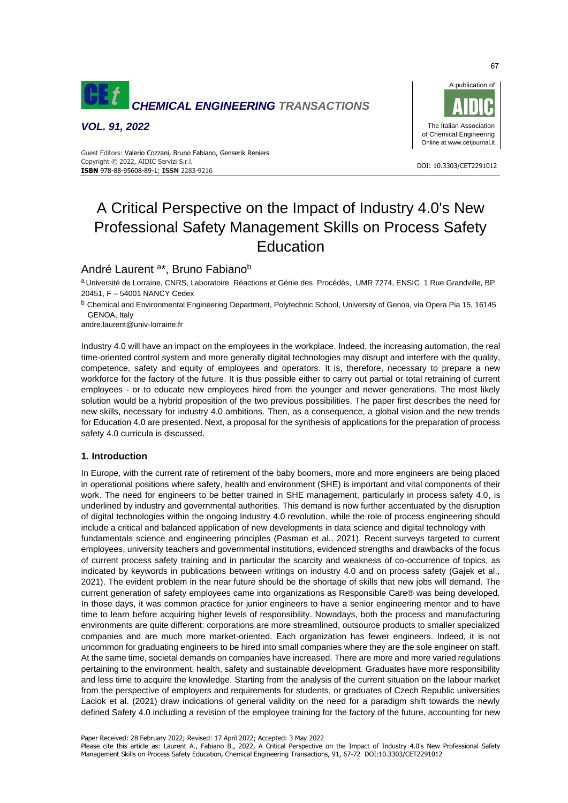

*VOL. 91, 2022*



 DOI: 10.3303/CET2291012 **ISBN** 978-88-95608-89-1; **ISSN** 2283-9216 Guest Editors: Valerio Cozzani, Bruno Fabiano, Genserik Reniers Copyright © 2022, AIDIC Servizi S.r.l.

# A Critical Perspective on the Impact of Industry 4.0's New Professional Safety Management Skills on Process Safety Education

# André Laurent<sup>a\*</sup>, Bruno Fabiano<sup>b</sup>

a Université de Lorraine, CNRS, Laboratoire Réactions et Génie des Procédés, UMR 7274, ENSIC 1 Rue Grandville, BP 20451, F – 54001 NANCY Cedex

<sup>b</sup> Chemical and Environmental Engineering Department, Polytechnic School, University of Genoa, via Opera Pia 15, 16145 GENOA, Italy

andre.laurent@univ-lorraine.fr

Industry 4.0 will have an impact on the employees in the workplace. Indeed, the increasing automation, the real time-oriented control system and more generally digital technologies may disrupt and interfere with the quality, competence, safety and equity of employees and operators. It is, therefore, necessary to prepare a new workforce for the factory of the future. It is thus possible either to carry out partial or total retraining of current employees - or to educate new employees hired from the younger and newer generations. The most likely solution would be a hybrid proposition of the two previous possibilities. The paper first describes the need for new skills, necessary for industry 4.0 ambitions. Then, as a consequence, a global vision and the new trends for Education 4.0 are presented. Next, a proposal for the synthesis of applications for the preparation of process safety 4.0 curricula is discussed.

# **1. Introduction**

In Europe, with the current rate of retirement of the baby boomers, more and more engineers are being placed in operational positions where safety, health and environment (SHE) is important and vital components of their work. The need for engineers to be better trained in SHE management, particularly in process safety 4.0, is underlined by industry and governmental authorities. This demand is now further accentuated by the disruption of digital technologies within the ongoing Industry 4.0 revolution, while the role of process engineering should include a critical and balanced application of new developments in data science and digital technology with fundamentals science and engineering principles (Pasman et al., 2021). Recent surveys targeted to current employees, university teachers and governmental institutions, evidenced strengths and drawbacks of the focus of current process safety training and in particular the scarcity and weakness of co-occurrence of topics, as indicated by keywords in publications between writings on industry 4.0 and on process safety (Gajek et al., 2021). The evident problem in the near future should be the shortage of skills that new jobs will demand. The current generation of safety employees came into organizations as Responsible Care® was being developed. In those days, it was common practice for junior engineers to have a senior engineering mentor and to have time to learn before acquiring higher levels of responsibility. Nowadays, both the process and manufacturing environments are quite different: corporations are more streamlined, outsource products to smaller specialized companies and are much more market-oriented. Each organization has fewer engineers. Indeed, it is not uncommon for graduating engineers to be hired into small companies where they are the sole engineer on staff. At the same time, societal demands on companies have increased. There are more and more varied regulations pertaining to the environment, health, safety and sustainable development. Graduates have more responsibility and less time to acquire the knowledge. Starting from the analysis of the current situation on the labour market from the perspective of employers and requirements for students, or graduates of Czech Republic universities Laciok et al. (2021) draw indications of general validity on the need for a paradigm shift towards the newly defined Safety 4.0 including a revision of the employee training for the factory of the future, accounting for new

Paper Received: 28 February 2022; Revised: 17 April 2022; Accepted: 3 May 2022

Please cite this article as: Laurent A., Fabiano B., 2022, A Critical Perspective on the Impact of Industry 4.0's New Professional Safety Management Skills on Process Safety Education, Chemical Engineering Transactions, 91, 67-72 DOI:10.3303/CET2291012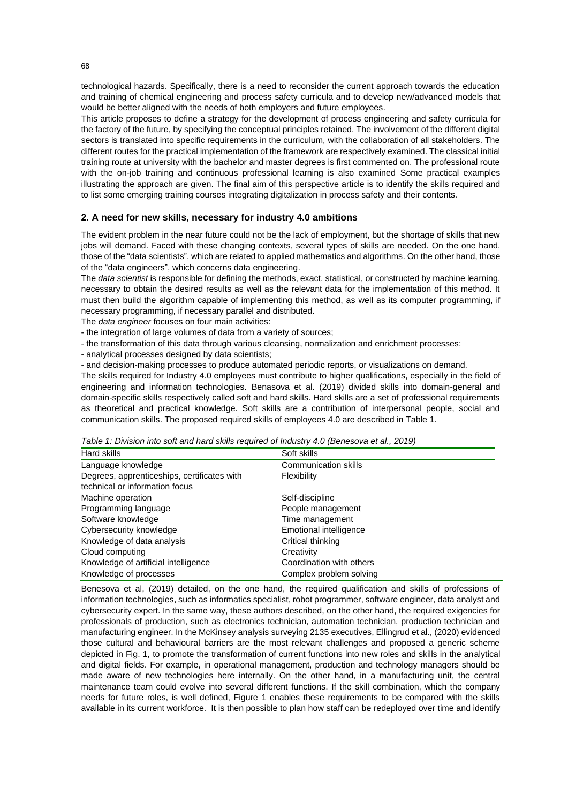technological hazards. Specifically, there is a need to reconsider the current approach towards the education and training of chemical engineering and process safety curricula and to develop new/advanced models that would be better aligned with the needs of both employers and future employees.

This article proposes to define a strategy for the development of process engineering and safety curricula for the factory of the future, by specifying the conceptual principles retained. The involvement of the different digital sectors is translated into specific requirements in the curriculum, with the collaboration of all stakeholders. The different routes for the practical implementation of the framework are respectively examined. The classical initial training route at university with the bachelor and master degrees is first commented on. The professional route with the on-job training and continuous professional learning is also examined Some practical examples illustrating the approach are given. The final aim of this perspective article is to identify the skills required and to list some emerging training courses integrating digitalization in process safety and their contents.

## **2. A need for new skills, necessary for industry 4.0 ambitions**

The evident problem in the near future could not be the lack of employment, but the shortage of skills that new jobs will demand. Faced with these changing contexts, several types of skills are needed. On the one hand, those of the "data scientists", which are related to applied mathematics and algorithms. On the other hand, those of the "data engineers", which concerns data engineering.

The *data scientist* is responsible for defining the methods, exact, statistical, or constructed by machine learning, necessary to obtain the desired results as well as the relevant data for the implementation of this method. It must then build the algorithm capable of implementing this method, as well as its computer programming, if necessary programming, if necessary parallel and distributed.

The *data engineer* focuses on four main activities:

- the integration of large volumes of data from a variety of sources;
- the transformation of this data through various cleansing, normalization and enrichment processes;
- analytical processes designed by data scientists;
- and decision-making processes to produce automated periodic reports, or visualizations on demand.

The skills required for Industry 4.0 employees must contribute to higher qualifications, especially in the field of engineering and information technologies. Benasova et al. (2019) divided skills into domain-general and domain-specific skills respectively called soft and hard skills. Hard skills are a set of professional requirements as theoretical and practical knowledge. Soft skills are a contribution of interpersonal people, social and communication skills. The proposed required skills of employees 4.0 are described in Table 1.

*Table 1: Division into soft and hard skills required of Industry 4.0 (Benesova et al., 2019)*

| $\sim$ 2000 $\sim$ 0.000 $\sim$ 0.000 $\sim$ 0.000 $\sim$ 0.000 $\sim$ 0.000 $\sim$ 0.000 $\sim$ 0.000 $\sim$ 0.000 $\sim$ 0.000 $\sim$ 0.000 $\sim$ 0.000 $\sim$ 0.000 $\sim$ 0.000 $\sim$ 0.000 $\sim$ 0.000 $\sim$ 0.000 $\sim$ 0.000 $\sim$ 0.000 $\sim$ 0.000 $\$ |                          |  |  |
|------------------------------------------------------------------------------------------------------------------------------------------------------------------------------------------------------------------------------------------------------------------------|--------------------------|--|--|
| Hard skills                                                                                                                                                                                                                                                            | Soft skills              |  |  |
| Language knowledge                                                                                                                                                                                                                                                     | Communication skills     |  |  |
| Degrees, apprenticeships, certificates with                                                                                                                                                                                                                            | Flexibility              |  |  |
| technical or information focus                                                                                                                                                                                                                                         |                          |  |  |
| Machine operation                                                                                                                                                                                                                                                      | Self-discipline          |  |  |
| Programming language                                                                                                                                                                                                                                                   | People management        |  |  |
| Software knowledge                                                                                                                                                                                                                                                     | Time management          |  |  |
| Cybersecurity knowledge                                                                                                                                                                                                                                                | Emotional intelligence   |  |  |
| Knowledge of data analysis                                                                                                                                                                                                                                             | Critical thinking        |  |  |
| Cloud computing                                                                                                                                                                                                                                                        | Creativity               |  |  |
| Knowledge of artificial intelligence                                                                                                                                                                                                                                   | Coordination with others |  |  |
| Knowledge of processes                                                                                                                                                                                                                                                 | Complex problem solving  |  |  |

Benesova et al, (2019) detailed, on the one hand, the required qualification and skills of professions of information technologies, such as informatics specialist, robot programmer, software engineer, data analyst and cybersecurity expert. In the same way, these authors described, on the other hand, the required exigencies for professionals of production, such as electronics technician, automation technician, production technician and manufacturing engineer. In the McKinsey analysis surveying 2135 executives, Ellingrud et al., (2020) evidenced those cultural and behavioural barriers are the most relevant challenges and proposed a generic scheme depicted in Fig. 1, to promote the transformation of current functions into new roles and skills in the analytical and digital fields. For example, in operational management, production and technology managers should be made aware of new technologies here internally. On the other hand, in a manufacturing unit, the central maintenance team could evolve into several different functions. If the skill combination, which the company needs for future roles, is well defined, Figure 1 enables these requirements to be compared with the skills available in its current workforce. It is then possible to plan how staff can be redeployed over time and identify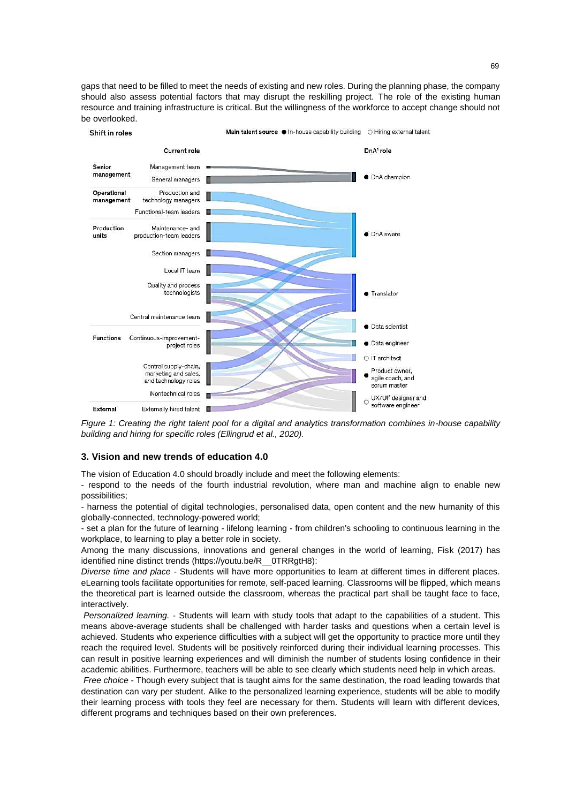gaps that need to be filled to meet the needs of existing and new roles. During the planning phase, the company should also assess potential factors that may disrupt the reskilling project. The role of the existing human resource and training infrastructure is critical. But the willingness of the workforce to accept change should not be overlooked.



*Figure 1: Creating the right talent pool for a digital and analytics transformation combines in-house capability building and hiring for specific roles (Ellingrud et al., 2020).*

#### **3. Vision and new trends of education 4.0**

The vision of Education 4.0 should broadly include and meet the following elements:

- respond to the needs of the fourth industrial revolution, where man and machine align to enable new possibilities;

- harness the potential of digital technologies, personalised data, open content and the new humanity of this globally-connected, technology-powered world;

- set a plan for the future of learning - lifelong learning - from children's schooling to continuous learning in the workplace, to learning to play a better role in society.

Among the many discussions, innovations and general changes in the world of learning, Fisk (2017) has identified nine distinct trends (https://youtu.be/R\_\_0TRRgtH8):

*Diverse time and place* - Students will have more opportunities to learn at different times in different places. eLearning tools facilitate opportunities for remote, self-paced learning. Classrooms will be flipped, which means the theoretical part is learned outside the classroom, whereas the practical part shall be taught face to face, interactively.

*Personalized learning.* - Students will learn with study tools that adapt to the capabilities of a student. This means above-average students shall be challenged with harder tasks and questions when a certain level is achieved. Students who experience difficulties with a subject will get the opportunity to practice more until they reach the required level. Students will be positively reinforced during their individual learning processes. This can result in positive learning experiences and will diminish the number of students losing confidence in their academic abilities. Furthermore, teachers will be able to see clearly which students need help in which areas.

*Free choice* - Though every subject that is taught aims for the same destination, the road leading towards that destination can vary per student. Alike to the personalized learning experience, students will be able to modify their learning process with tools they feel are necessary for them. Students will learn with different devices, different programs and techniques based on their own preferences.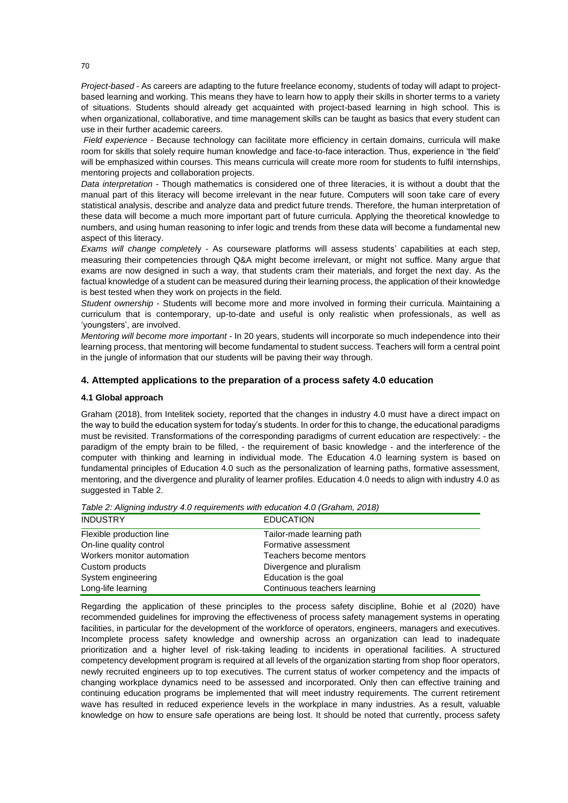*Project-based -* As careers are adapting to the future freelance economy, students of today will adapt to projectbased learning and working. This means they have to learn how to apply their skills in shorter terms to a variety of situations. Students should already get acquainted with project-based learning in high school. This is when organizational, collaborative, and time management skills can be taught as basics that every student can use in their further academic careers.

*Field experience* - Because technology can facilitate more efficiency in certain domains, curricula will make room for skills that solely require human knowledge and face-to-face interaction. Thus, experience in 'the field' will be emphasized within courses. This means curricula will create more room for students to fulfil internships, mentoring projects and collaboration projects.

*Data interpretation* - Though mathematics is considered one of three literacies, it is without a doubt that the manual part of this literacy will become irrelevant in the near future. Computers will soon take care of every statistical analysis, describe and analyze data and predict future trends. Therefore, the human interpretation of these data will become a much more important part of future curricula. Applying the theoretical knowledge to numbers, and using human reasoning to infer logic and trends from these data will become a fundamental new aspect of this literacy.

*Exams will change completel*y - As courseware platforms will assess students' capabilities at each step, measuring their competencies through Q&A might become irrelevant, or might not suffice. Many argue that exams are now designed in such a way, that students cram their materials, and forget the next day. As the factual knowledge of a student can be measured during their learning process, the application of their knowledge is best tested when they work on projects in the field.

*Student ownership* - Students will become more and more involved in forming their curricula. Maintaining a curriculum that is contemporary, up-to-date and useful is only realistic when professionals, as well as 'youngsters', are involved.

*Mentoring will become more important* - In 20 years, students will incorporate so much independence into their learning process, that mentoring will become fundamental to student success. Teachers will form a central point in the jungle of information that our students will be paving their way through.

# **4. Attempted applications to the preparation of a process safety 4.0 education**

### **4.1 Global approach**

Graham (2018), from Intelitek society, reported that the changes in industry 4.0 must have a direct impact on the way to build the education system for today's students. In order for this to change, the educational paradigms must be revisited. Transformations of the corresponding paradigms of current education are respectively: - the paradigm of the empty brain to be filled, - the requirement of basic knowledge - and the interference of the computer with thinking and learning in individual mode. The Education 4.0 learning system is based on fundamental principles of Education 4.0 such as the personalization of learning paths, formative assessment, mentoring, and the divergence and plurality of learner profiles. Education 4.0 needs to align with industry 4.0 as suggested in Table 2.

| <b>INDUSTRY</b>            | <b>EDUCATION</b>             |
|----------------------------|------------------------------|
| Flexible production line   | Tailor-made learning path    |
| On-line quality control    | Formative assessment         |
| Workers monitor automation | Teachers become mentors      |
| Custom products            | Divergence and pluralism     |
| System engineering         | Education is the goal        |
| Long-life learning         | Continuous teachers learning |

*Table 2: Aligning industry 4.0 requirements with education 4.0 (Graham, 2018)*

Regarding the application of these principles to the process safety discipline, Bohie et al (2020) have recommended guidelines for improving the effectiveness of process safety management systems in operating facilities, in particular for the development of the workforce of operators, engineers, managers and executives. Incomplete process safety knowledge and ownership across an organization can lead to inadequate prioritization and a higher level of risk-taking leading to incidents in operational facilities. A structured competency development program is required at all levels of the organization starting from shop floor operators, newly recruited engineers up to top executives. The current status of worker competency and the impacts of changing workplace dynamics need to be assessed and incorporated. Only then can effective training and continuing education programs be implemented that will meet industry requirements. The current retirement wave has resulted in reduced experience levels in the workplace in many industries. As a result, valuable knowledge on how to ensure safe operations are being lost. It should be noted that currently, process safety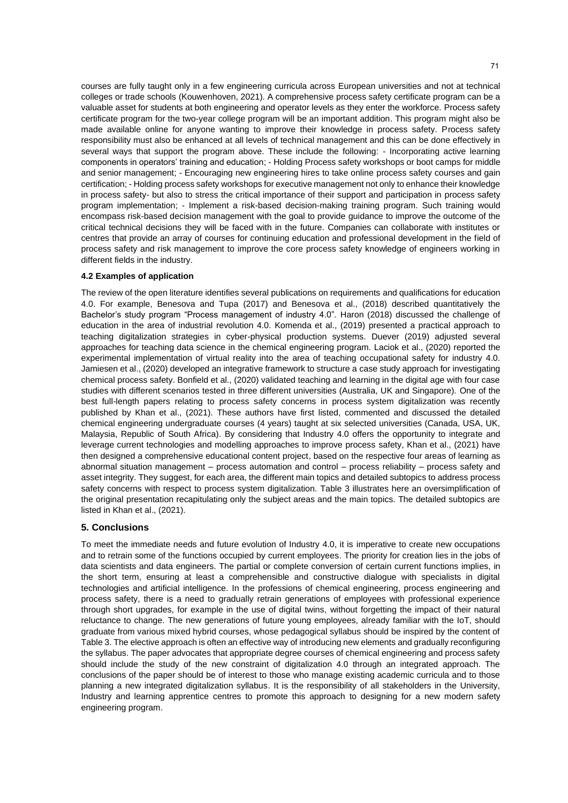courses are fully taught only in a few engineering curricula across European universities and not at technical colleges or trade schools (Kouwenhoven, 2021). A comprehensive process safety certificate program can be a valuable asset for students at both engineering and operator levels as they enter the workforce. Process safety certificate program for the two-year college program will be an important addition. This program might also be made available online for anyone wanting to improve their knowledge in process safety. Process safety responsibility must also be enhanced at all levels of technical management and this can be done effectively in several ways that support the program above. These include the following: - Incorporating active learning components in operators' training and education; - Holding Process safety workshops or boot camps for middle and senior management; - Encouraging new engineering hires to take online process safety courses and gain certification; - Holding process safety workshops for executive management not only to enhance their knowledge in process safety- but also to stress the critical importance of their support and participation in process safety program implementation; - Implement a risk-based decision-making training program. Such training would encompass risk-based decision management with the goal to provide guidance to improve the outcome of the critical technical decisions they will be faced with in the future. Companies can collaborate with institutes or centres that provide an array of courses for continuing education and professional development in the field of process safety and risk management to improve the core process safety knowledge of engineers working in different fields in the industry.

#### **4.2 Examples of application**

The review of the open literature identifies several publications on requirements and qualifications for education 4.0. For example, Benesova and Tupa (2017) and Benesova et al., (2018) described quantitatively the Bachelor's study program "Process management of industry 4.0". Haron (2018) discussed the challenge of education in the area of industrial revolution 4.0. Komenda et al., (2019) presented a practical approach to teaching digitalization strategies in cyber-physical production systems. Duever (2019) adjusted several approaches for teaching data science in the chemical engineering program. Laciok et al., (2020) reported the experimental implementation of virtual reality into the area of teaching occupational safety for industry 4.0. Jamiesen et al., (2020) developed an integrative framework to structure a case study approach for investigating chemical process safety. Bonfield et al., (2020) validated teaching and learning in the digital age with four case studies with different scenarios tested in three different universities (Australia, UK and Singapore). One of the best full-length papers relating to process safety concerns in process system digitalization was recently published by Khan et al., (2021). These authors have first listed, commented and discussed the detailed chemical engineering undergraduate courses (4 years) taught at six selected universities (Canada, USA, UK, Malaysia, Republic of South Africa). By considering that Industry 4.0 offers the opportunity to integrate and leverage current technologies and modelling approaches to improve process safety, Khan et al., (2021) have then designed a comprehensive educational content project, based on the respective four areas of learning as abnormal situation management – process automation and control – process reliability – process safety and asset integrity. They suggest, for each area, the different main topics and detailed subtopics to address process safety concerns with respect to process system digitalization. Table 3 illustrates here an oversimplification of the original presentation recapitulating only the subject areas and the main topics. The detailed subtopics are listed in Khan et al., (2021).

# **5. Conclusions**

To meet the immediate needs and future evolution of Industry 4.0, it is imperative to create new occupations and to retrain some of the functions occupied by current employees. The priority for creation lies in the jobs of data scientists and data engineers. The partial or complete conversion of certain current functions implies, in the short term, ensuring at least a comprehensible and constructive dialogue with specialists in digital technologies and artificial intelligence. In the professions of chemical engineering, process engineering and process safety, there is a need to gradually retrain generations of employees with professional experience through short upgrades, for example in the use of digital twins, without forgetting the impact of their natural reluctance to change. The new generations of future young employees, already familiar with the IoT, should graduate from various mixed hybrid courses, whose pedagogical syllabus should be inspired by the content of Table 3. The elective approach is often an effective way of introducing new elements and gradually reconfiguring the syllabus. The paper advocates that appropriate degree courses of chemical engineering and process safety should include the study of the new constraint of digitalization 4.0 through an integrated approach. The conclusions of the paper should be of interest to those who manage existing academic curricula and to those planning a new integrated digitalization syllabus. It is the responsibility of all stakeholders in the University, Industry and learning apprentice centres to promote this approach to designing for a new modern safety engineering program.